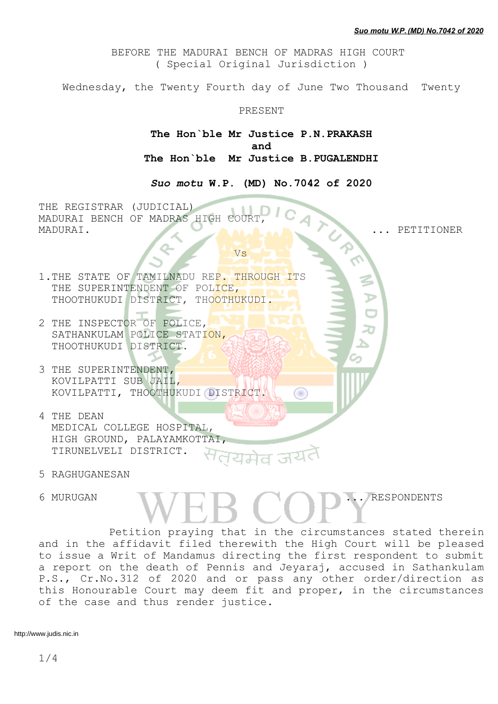BEFORE THE MADURAI BENCH OF MADRAS HIGH COURT ( Special Original Jurisdiction )

Wednesday, the Twenty Fourth day of June Two Thousand Twenty

## PRESENT

**The Hon`ble Mr Justice P.N.PRAKASH and The Hon`ble Mr Justice B.PUGALENDHI**

*Suo motu* **W.P. (MD) No.7042 of 2020**

THE REGISTRAR (JUDICIAL) MADURAI BENCH OF MADRAS HIGH COURT MADURAI. ... PETITIONER

<u>Vs</u> Vs

- 1.THE STATE OF TAMILNADU REP. THROUGH ITS THE SUPERINTENDENT OF POLICE, THOOTHUKUDI DISTRICT, THOOTHUKUDI.
- 2 THE INSPECTOR OF POLICE, SATHANKULAM POLICE STATION, THOOTHUKUDI DISTRICT.
- 3 THE SUPERINTENDENT, KOVILPATTI SUB JAIL, KOVILPATTI, THOOTHUKUDI DISTRICT.
- 4 THE DEAN MEDICAL COLLEGE HOSPITAL, HIGH GROUND, PALAYAMKOTTAI, TIRUNELVELI DISTRICT.
- 5 RAGHUGANESAN
- 

6 MURUGAN ... RESPONDENTS

Œ

Petition praying that in the circumstances stated therein and in the affidavit filed therewith the High Court will be pleased to issue a Writ of Mandamus directing the first respondent to submit a report on the death of Pennis and Jeyaraj, accused in Sathankulam P.S., Cr.No.312 of 2020 and or pass any other order/direction as this Honourable Court may deem fit and proper, in the circumstances of the case and thus render justice.

http://www.judis.nic.in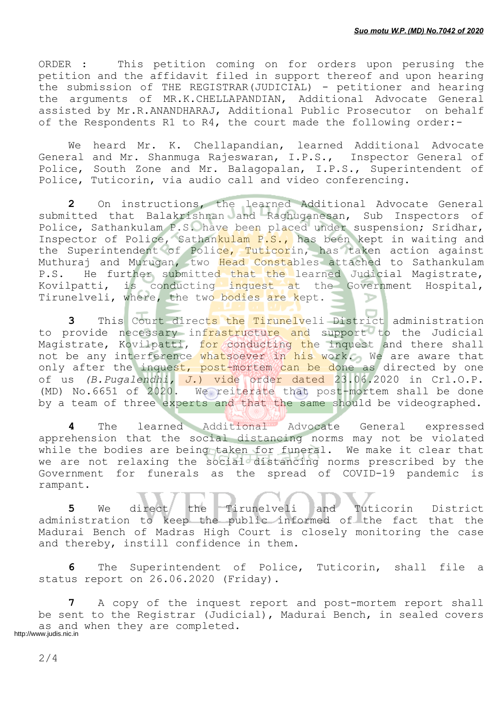ORDER : This petition coming on for orders upon perusing the petition and the affidavit filed in support thereof and upon hearing the submission of THE REGISTRAR(JUDICIAL) - petitioner and hearing the arguments of MR.K.CHELLAPANDIAN, Additional Advocate General assisted by Mr.R.ANANDHARAJ, Additional Public Prosecutor on behalf of the Respondents R1 to R4, the court made the following order:-

We heard Mr. K. Chellapandian, learned Additional Advocate General and Mr. Shanmuga Rajeswaran, I.P.S., Inspector General of Police, South Zone and Mr. Balagopalan, I.P.S., Superintendent of Police, Tuticorin, via audio call and video conferencing.

**2** On instructions, the learned Additional Advocate General submitted that Balakrishnan and Raghuganesan, Sub Inspectors of Police, Sathankulam P.S. have been placed under suspension; Sridhar, Inspector of Police, Sathankulam P.S., has been kept in waiting and the Superintendent of Police, Tuticorin, has taken action against Muthuraj and Murugan, two Head Constables attached to Sathankulam P.S. He further submitted that the learned Judicial Magistrate, Kovilpatti, is conducting inquest at the Government Hospital, Tirunelveli, where, the two bodies are kept.

**3** This Court directs the Tirunelveli District administration to provide necessary infrastructure and support to the Judicial Magistrate, Kovilpatti, for conducting the inquest and there shall not be any interference whatsoever in his work. We are aware that only after the inquest, post-mortem can be done as directed by one of us *(B.Pugalendhi, J.*) vide order dated 23.06.2020 in Crl.O.P. (MD) No.6651 of 2020. We reiterate that post-mortem shall be done by a team of three experts and that the same should be videographed.

**4** The learned Additional Advocate General expressed apprehension that the social distancing norms may not be violated while the bodies are being taken for funeral. We make it clear that we are not relaxing the social distancing norms prescribed by the Government for funerals as the spread of COVID-19 pandemic is rampant.

**5** We direct the Tirunelveli and Tuticorin District administration to keep the public informed of the fact that the Madurai Bench of Madras High Court is closely monitoring the case and thereby, instill confidence in them.

**6** The Superintendent of Police, Tuticorin, shall file a status report on 26.06.2020 (Friday).

**7** A copy of the inquest report and post-mortem report shall be sent to the Registrar (Judicial), Madurai Bench, in sealed covers as and when they are completed. http://www.judis.nic.in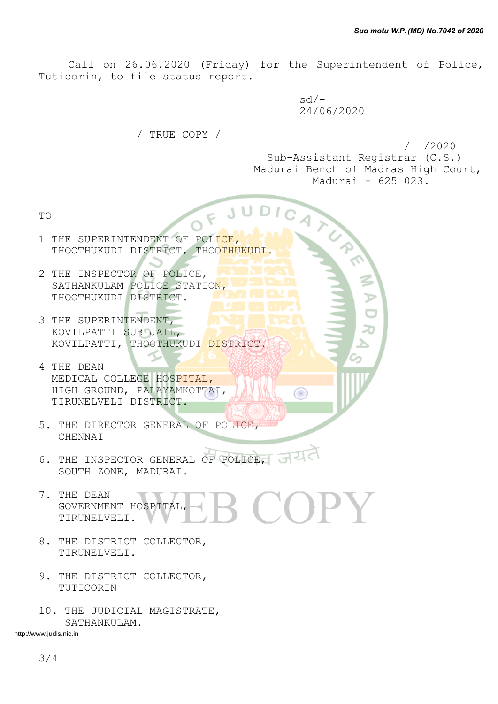Call on 26.06.2020 (Friday) for the Superintendent of Police, Tuticorin, to file status report.

FJUDI

 sd/- 24/06/2020

Œ

/ TRUE COPY /

 / /2020 Sub-Assistant Registrar (C.S.) Madurai Bench of Madras High Court, Madurai - 625 023.

TO

- 1 THE SUPERINTENDENT OF POLICE, THOOTHUKUDI DISTRICT, THOOTHUKUDI.
- 2 THE INSPECTOR OF POLICE, SATHANKULAM POLICE STATION, THOOTHUKUDI DISTRICT.
- 3 THE SUPERINTENDENT, KOVILPATTI SUB JAIL, KOVILPATTI, THOOTHUKUDI DISTRICT.
- 4 THE DEAN MEDICAL COLLEGE HOSPITAL, HIGH GROUND, PALAYAMKOTTAI, TIRUNELVELI DISTRICT.
- 5. THE DIRECTOR GENERAL OF POLICE, CHENNAI
- 6. THE INSPECTOR GENERAL OF POLICE, SOUTH ZONE, MADURAI.
- 7. THE DEAN  $\Box$  ( )  $\Box$  )  $\Box$  GOVERNMENT HOSPITAL, TIRUNELVELI.
- 8. THE DISTRICT COLLECTOR, TIRUNELVELI.
- 9. THE DISTRICT COLLECTOR, TUTICORIN
- 10. THE JUDICIAL MAGISTRATE, SATHANKULAM.

http://www.judis.nic.in